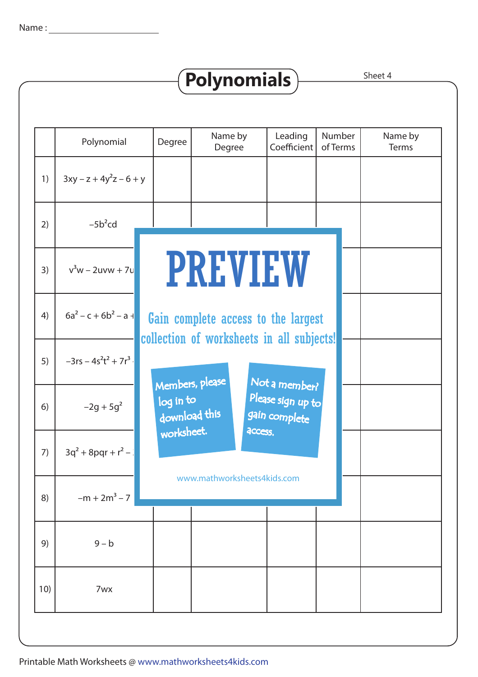|     |                             |                            | <b>Polynomials</b> |                                                                                  |                    | Sheet 4          |
|-----|-----------------------------|----------------------------|--------------------|----------------------------------------------------------------------------------|--------------------|------------------|
|     |                             |                            |                    |                                                                                  |                    |                  |
|     | Polynomial                  | Degree                     | Name by<br>Degree  | Leading<br>Coefficient                                                           | Number<br>of Terms | Name by<br>Terms |
| 1)  | $3xy - z + 4y^2z - 6 + y$   |                            |                    |                                                                                  |                    |                  |
| 2)  | $-5b^2cd$                   |                            |                    |                                                                                  |                    |                  |
| 3)  | $v^3w - 2uvw + 7u$          |                            |                    | <b>PREVIEW</b>                                                                   |                    |                  |
| 4)  | $6a^2 - c + 6b^2 - a +$     |                            |                    | Gain complete access to the largest<br>collection of worksheets in all subjects! |                    |                  |
| 5)  | $-3rs - 4s^2t^2 + 7r^3$ .   | Members, please            |                    |                                                                                  |                    |                  |
| 6)  | $-2g + 5g2$                 | log in to<br>download this |                    | Not a member?<br>Please sign up to<br>gain complete                              |                    |                  |
| 7)  | $3q^{2} + 8pqr + r^{2} - 1$ | worksheet.                 |                    | access.                                                                          |                    |                  |
| 8)  | $-m + 2m^3 - 7$             |                            |                    | www.mathworksheets4kids.com                                                      |                    |                  |
| 9)  | $9 - b$                     |                            |                    |                                                                                  |                    |                  |
| 10) | 7wx                         |                            |                    |                                                                                  |                    |                  |
|     |                             |                            |                    |                                                                                  |                    |                  |